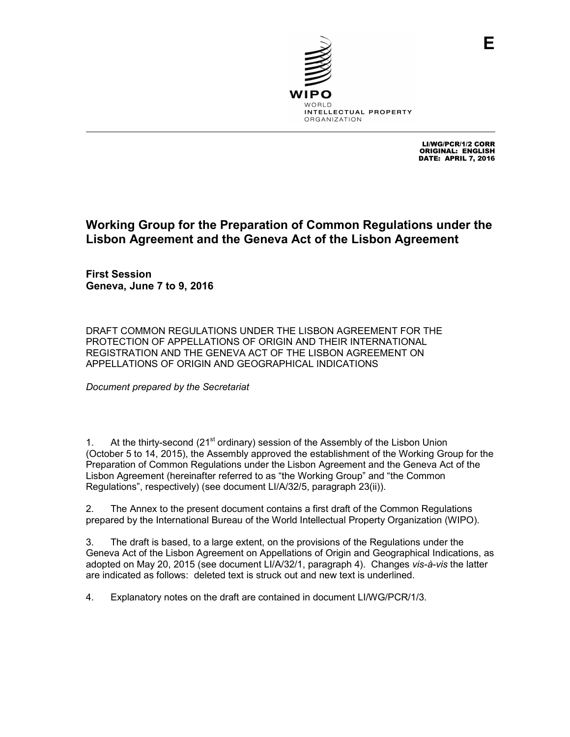

LI/WG/PCR/1/2 CORR ORIGINAL: ENGLISH DATE: APRIL 7, 2016

# **Working Group for the Preparation of Common Regulations under the Lisbon Agreement and the Geneva Act of the Lisbon Agreement**

**First Session Geneva, June 7 to 9, 2016** 

DRAFT COMMON REGULATIONS UNDER THE LISBON AGREEMENT FOR THE PROTECTION OF APPELLATIONS OF ORIGIN AND THEIR INTERNATIONAL REGISTRATION AND THE GENEVA ACT OF THE LISBON AGREEMENT ON APPELLATIONS OF ORIGIN AND GEOGRAPHICAL INDICATIONS

*Document prepared by the Secretariat* 

1. At the thirty-second  $(21<sup>st</sup> \text{ ordinary})$  session of the Assembly of the Lisbon Union (October 5 to 14, 2015), the Assembly approved the establishment of the Working Group for the Preparation of Common Regulations under the Lisbon Agreement and the Geneva Act of the Lisbon Agreement (hereinafter referred to as "the Working Group" and "the Common Regulations", respectively) (see document LI/A/32/5, paragraph 23(ii)).

2. The Annex to the present document contains a first draft of the Common Regulations prepared by the International Bureau of the World Intellectual Property Organization (WIPO).

3. The draft is based, to a large extent, on the provisions of the Regulations under the Geneva Act of the Lisbon Agreement on Appellations of Origin and Geographical Indications, as adopted on May 20, 2015 (see document LI/A/32/1, paragraph 4). Changes *vis-à-vis* the latter are indicated as follows: deleted text is struck out and new text is underlined.

4. Explanatory notes on the draft are contained in document LI/WG/PCR/1/3.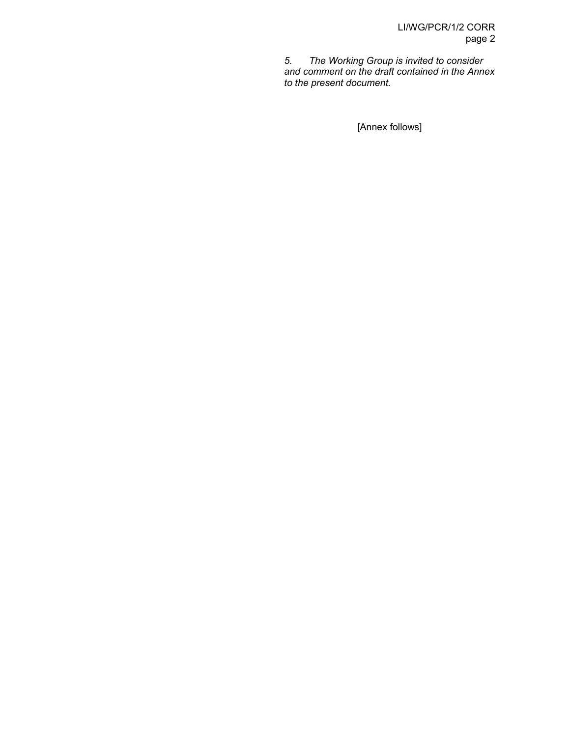*5. The Working Group is invited to consider and comment on the draft contained in the Annex to the present document.* 

[Annex follows]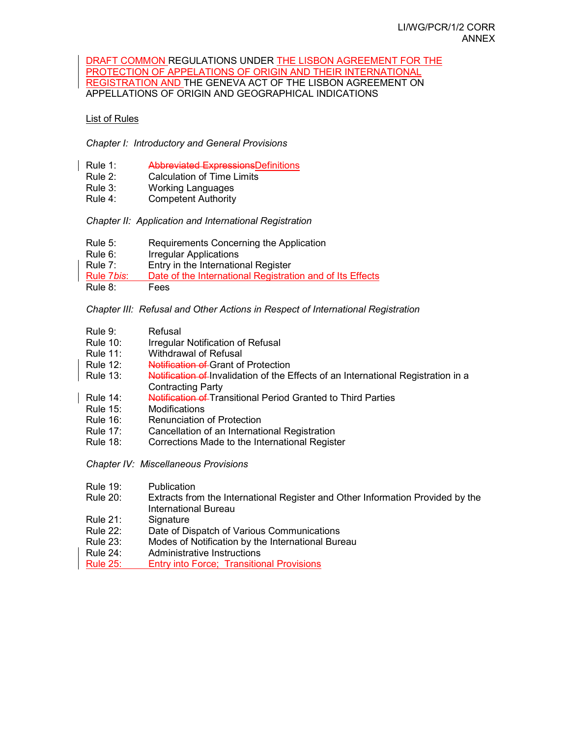#### DRAFT COMMON REGULATIONS UNDER THE LISBON AGREEMENT FOR THE PROTECTION OF APPELATIONS OF ORIGIN AND THEIR INTERNATIONAL REGISTRATION AND THE GENEVA ACT OF THE LISBON AGREEMENT ON APPELLATIONS OF ORIGIN AND GEOGRAPHICAL INDICATIONS

List of Rules

### *Chapter I: Introductory and General Provisions*

- Rule 1: Abbreviated ExpressionsDefinitions
- Rule 2: Calculation of Time Limits
- Rule 3: Working Languages<br>Rule 4: Competent Authority
- **Competent Authority**

#### *Chapter II: Application and International Registration*

| Rule $5$ : | Requirements Concerning the Application |  |
|------------|-----------------------------------------|--|
|            |                                         |  |

- Rule 6: Irregular Applications
- Rule 7: Entry in the International Register<br>Rule 7bis: Date of the International Registrat

Date of the International Registration and of Its Effects<br>Fees

Rule  $8$ :

#### *Chapter III: Refusal and Other Actions in Respect of International Registration*

| Rule 9: | Refusal |
|---------|---------|
|---------|---------|

- Rule 10: Irregular Notification of Refusal
- Rule 11: Withdrawal of Refusal
- Rule 12: Notification of Grant of Protection
- Rule 13: Notification of Invalidation of the Effects of an International Registration in a Contracting Party
- Rule 14: Notification of Transitional Period Granted to Third Parties<br>Rule 15: Modifications
- **Modifications**
- Rule 16: Renunciation of Protection<br>Rule 17: Cancellation of an Internati
- Cancellation of an International Registration
- Rule 18: Corrections Made to the International Register

#### *Chapter IV: Miscellaneous Provisions*

- Rule 19: Publication<br>Rule 20: Extracts fro
- Extracts from the International Register and Other Information Provided by the International Bureau
- Rule 21: Signature
- Rule 22: Date of Dispatch of Various Communications
- Rule 23: Modes of Notification by the International Bureau
- Rule 24: Administrative Instructions<br>
Rule 25: Entry into Force; Transition
- Entry into Force; Transitional Provisions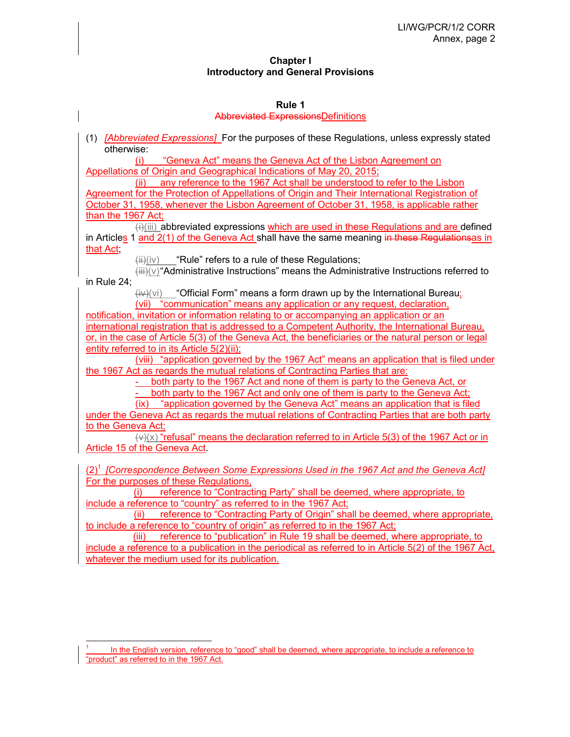### **Chapter I Introductory and General Provisions**

#### **Rule 1**

#### Abbreviated ExpressionsDefinitions

(1) *[Abbreviated Expressions]* For the purposes of these Regulations, unless expressly stated otherwise:

(i) "Geneva Act" means the Geneva Act of the Lisbon Agreement on Appellations of Origin and Geographical Indications of May 20, 2015;

(ii) any reference to the 1967 Act shall be understood to refer to the Lisbon Agreement for the Protection of Appellations of Origin and Their International Registration of October 31, 1958, whenever the Lisbon Agreement of October 31, 1958, is applicable rather than the 1967 Act;

 $(H)(iii)$  abbreviated expressions which are used in these Regulations and are defined in Articles 1 and 2(1) of the Geneva Act shall have the same meaning in these Regulationsas in that Act;

 $(H<sub>i</sub>)(iv)$  "Rule" refers to a rule of these Regulations;

(iii)(v) "Administrative Instructions" means the Administrative Instructions referred to in Rule 24;

 $(iw)(vi)$  "Official Form" means a form drawn up by the International Bureau;

(vii) "communication" means any application or any request, declaration, notification, invitation or information relating to or accompanying an application or an international registration that is addressed to a Competent Authority, the International Bureau, or, in the case of Article 5(3) of the Geneva Act, the beneficiaries or the natural person or legal entity referred to in its Article 5(2)(ii);

(viii) "application governed by the 1967 Act" means an application that is filed under the 1967 Act as regards the mutual relations of Contracting Parties that are:

- both party to the 1967 Act and none of them is party to the Geneva Act, or

- both party to the 1967 Act and only one of them is party to the Geneva Act;

(ix) "application governed by the Geneva Act" means an application that is filed

under the Geneva Act as regards the mutual relations of Contracting Parties that are both party to the Geneva Act;

 $(\psi)(x)$  "refusal" means the declaration referred to in Article 5(3) of the 1967 Act or in Article 15 of the Geneva Act.

(2)<sup>1</sup> [Correspondence Between Some Expressions Used in the 1967 Act and the Geneva Act] For the purposes of these Regulations,

(i) reference to "Contracting Party" shall be deemed, where appropriate, to include a reference to "country" as referred to in the 1967 Act;

(ii) reference to "Contracting Party of Origin" shall be deemed, where appropriate, to include a reference to "country of origin" as referred to in the 1967 Act;

(iii) reference to "publication" in Rule 19 shall be deemed, where appropriate, to include a reference to a publication in the periodical as referred to in Article 5(2) of the 1967 Act, whatever the medium used for its publication.

 $\overline{1}$ 

<sup>1</sup> In the English version, reference to "good" shall be deemed, where appropriate, to include a reference to "product" as referred to in the 1967 Act.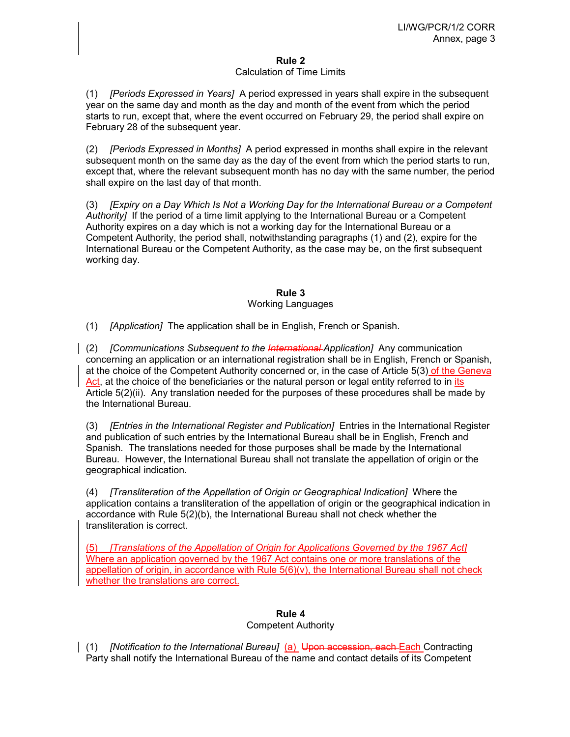#### **Rule 2**

#### Calculation of Time Limits

(1) *[Periods Expressed in Years]* A period expressed in years shall expire in the subsequent year on the same day and month as the day and month of the event from which the period starts to run, except that, where the event occurred on February 29, the period shall expire on February 28 of the subsequent year.

(2) *[Periods Expressed in Months]* A period expressed in months shall expire in the relevant subsequent month on the same day as the day of the event from which the period starts to run, except that, where the relevant subsequent month has no day with the same number, the period shall expire on the last day of that month.

(3) *[Expiry on a Day Which Is Not a Working Day for the International Bureau or a Competent Authority]* If the period of a time limit applying to the International Bureau or a Competent Authority expires on a day which is not a working day for the International Bureau or a Competent Authority, the period shall, notwithstanding paragraphs (1) and (2), expire for the International Bureau or the Competent Authority, as the case may be, on the first subsequent working day.

#### **Rule 3** Working Languages

(1) *[Application]* The application shall be in English, French or Spanish.

(2) *[Communications Subsequent to the International Application]* Any communication concerning an application or an international registration shall be in English, French or Spanish, at the choice of the Competent Authority concerned or, in the case of Article 5(3) of the Geneva Act, at the choice of the beneficiaries or the natural person or legal entity referred to in its Article 5(2)(ii). Any translation needed for the purposes of these procedures shall be made by the International Bureau.

(3) *[Entries in the International Register and Publication]* Entries in the International Register and publication of such entries by the International Bureau shall be in English, French and Spanish. The translations needed for those purposes shall be made by the International Bureau. However, the International Bureau shall not translate the appellation of origin or the geographical indication.

(4) *[Transliteration of the Appellation of Origin or Geographical Indication]* Where the application contains a transliteration of the appellation of origin or the geographical indication in accordance with Rule 5(2)(b), the International Bureau shall not check whether the transliteration is correct.

(5) *[Translations of the Appellation of Origin for Applications Governed by the 1967 Act]*  Where an application governed by the 1967 Act contains one or more translations of the appellation of origin, in accordance with Rule 5(6)(v), the International Bureau shall not check whether the translations are correct.

#### **Rule 4**  Competent Authority

(1) *[Notification to the International Bureau]* (a) Upon accession, each Each Contracting Party shall notify the International Bureau of the name and contact details of its Competent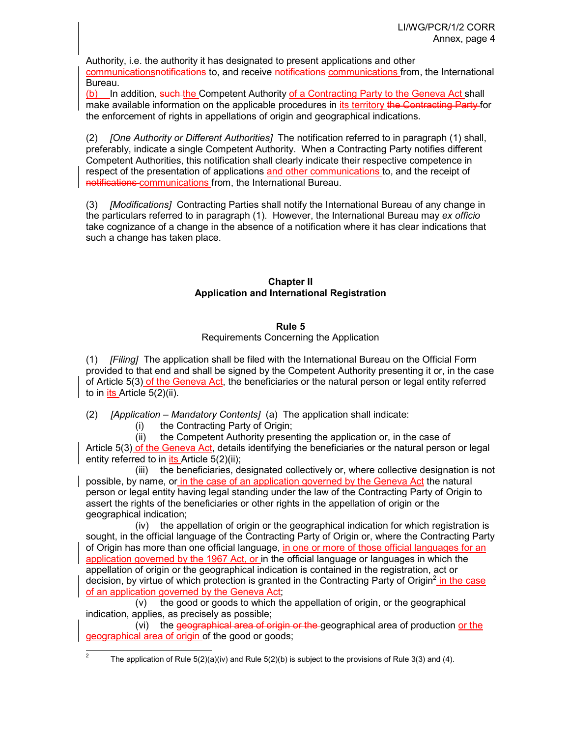Authority, i.e. the authority it has designated to present applications and other communicationsnotifications to, and receive notifications communications from, the International Bureau.

(b) In addition, such the Competent Authority of a Contracting Party to the Geneva Act shall make available information on the applicable procedures in its territory the Contracting Party for the enforcement of rights in appellations of origin and geographical indications.

(2) *[One Authority or Different Authorities]* The notification referred to in paragraph (1) shall, preferably, indicate a single Competent Authority. When a Contracting Party notifies different Competent Authorities, this notification shall clearly indicate their respective competence in respect of the presentation of applications and other communications to, and the receipt of notifications communications from, the International Bureau.

(3) *[Modifications]* Contracting Parties shall notify the International Bureau of any change in the particulars referred to in paragraph (1). However, the International Bureau may *ex officio* take cognizance of a change in the absence of a notification where it has clear indications that such a change has taken place.

### **Chapter II Application and International Registration**

### **Rule 5**

Requirements Concerning the Application

(1) *[Filing]* The application shall be filed with the International Bureau on the Official Form provided to that end and shall be signed by the Competent Authority presenting it or, in the case of Article 5(3) of the Geneva Act, the beneficiaries or the natural person or legal entity referred to in its Article 5(2)(ii).

(2) *[Application – Mandatory Contents]* (a) The application shall indicate:

(i) the Contracting Party of Origin;

(ii) the Competent Authority presenting the application or, in the case of Article 5(3) of the Geneva Act, details identifying the beneficiaries or the natural person or legal entity referred to in its Article 5(2)(ii);

(iii) the beneficiaries, designated collectively or, where collective designation is not possible, by name, or in the case of an application governed by the Geneva Act the natural person or legal entity having legal standing under the law of the Contracting Party of Origin to assert the rights of the beneficiaries or other rights in the appellation of origin or the geographical indication;

(iv) the appellation of origin or the geographical indication for which registration is sought, in the official language of the Contracting Party of Origin or, where the Contracting Party of Origin has more than one official language, in one or more of those official languages for an application governed by the 1967 Act, or in the official language or languages in which the appellation of origin or the geographical indication is contained in the registration, act or decision, by virtue of which protection is granted in the Contracting Party of Origin<sup>2</sup> in the case of an application governed by the Geneva Act;

(v) the good or goods to which the appellation of origin, or the geographical indication, applies, as precisely as possible;

(vi) the geographical area of origin or the geographical area of production or the geographical area of origin of the good or goods;

<sup>-&</sup>lt;br>2 The application of Rule  $5(2)(a)(iv)$  and Rule  $5(2)(b)$  is subject to the provisions of Rule 3(3) and (4).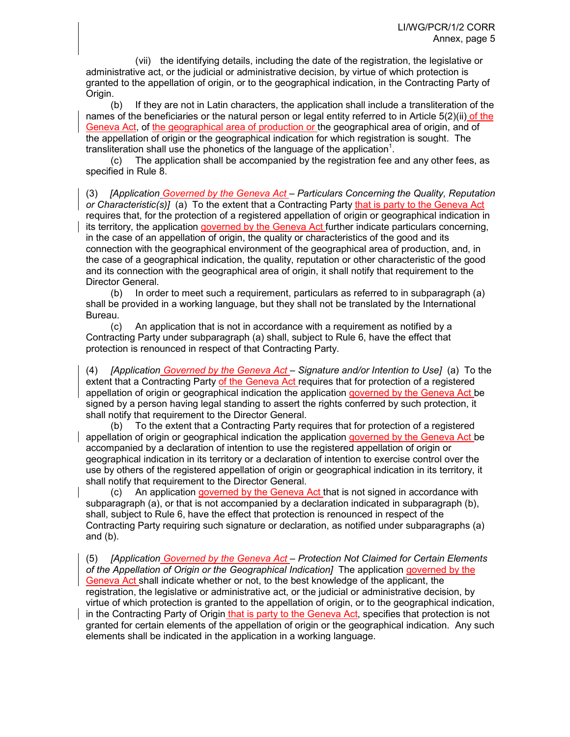(vii) the identifying details, including the date of the registration, the legislative or administrative act, or the judicial or administrative decision, by virtue of which protection is granted to the appellation of origin, or to the geographical indication, in the Contracting Party of Origin.

(b) If they are not in Latin characters, the application shall include a transliteration of the names of the beneficiaries or the natural person or legal entity referred to in Article 5(2)(ii) of the Geneva Act, of the geographical area of production or the geographical area of origin, and of the appellation of origin or the geographical indication for which registration is sought. The transliteration shall use the phonetics of the language of the application<sup>1</sup>.

(c) The application shall be accompanied by the registration fee and any other fees, as specified in Rule 8.

(3) *[Application Governed by the Geneva Act – Particulars Concerning the Quality, Reputation or Characteristic(s)]* (a) To the extent that a Contracting Party that is party to the Geneva Act requires that, for the protection of a registered appellation of origin or geographical indication in its territory, the application governed by the Geneva Act further indicate particulars concerning, in the case of an appellation of origin, the quality or characteristics of the good and its connection with the geographical environment of the geographical area of production, and, in the case of a geographical indication, the quality, reputation or other characteristic of the good and its connection with the geographical area of origin, it shall notify that requirement to the Director General.

(b) In order to meet such a requirement, particulars as referred to in subparagraph (a) shall be provided in a working language, but they shall not be translated by the International Bureau.

(c) An application that is not in accordance with a requirement as notified by a Contracting Party under subparagraph (a) shall, subject to Rule 6, have the effect that protection is renounced in respect of that Contracting Party.

(4) *[Application Governed by the Geneva Act – Signature and/or Intention to Use]* (a) To the extent that a Contracting Party of the Geneva Act requires that for protection of a registered appellation of origin or geographical indication the application governed by the Geneva Act be signed by a person having legal standing to assert the rights conferred by such protection, it shall notify that requirement to the Director General.

(b) To the extent that a Contracting Party requires that for protection of a registered appellation of origin or geographical indication the application governed by the Geneva Act be accompanied by a declaration of intention to use the registered appellation of origin or geographical indication in its territory or a declaration of intention to exercise control over the use by others of the registered appellation of origin or geographical indication in its territory, it shall notify that requirement to the Director General.

(c) An application governed by the Geneva Act that is not signed in accordance with subparagraph (a), or that is not accompanied by a declaration indicated in subparagraph (b), shall, subject to Rule 6, have the effect that protection is renounced in respect of the Contracting Party requiring such signature or declaration, as notified under subparagraphs (a) and (b).

(5) *[Application Governed by the Geneva Act – Protection Not Claimed for Certain Elements of the Appellation of Origin or the Geographical Indication]* The application governed by the Geneva Act shall indicate whether or not, to the best knowledge of the applicant, the registration, the legislative or administrative act, or the judicial or administrative decision, by virtue of which protection is granted to the appellation of origin, or to the geographical indication, in the Contracting Party of Origin that is party to the Geneva Act, specifies that protection is not granted for certain elements of the appellation of origin or the geographical indication. Any such elements shall be indicated in the application in a working language.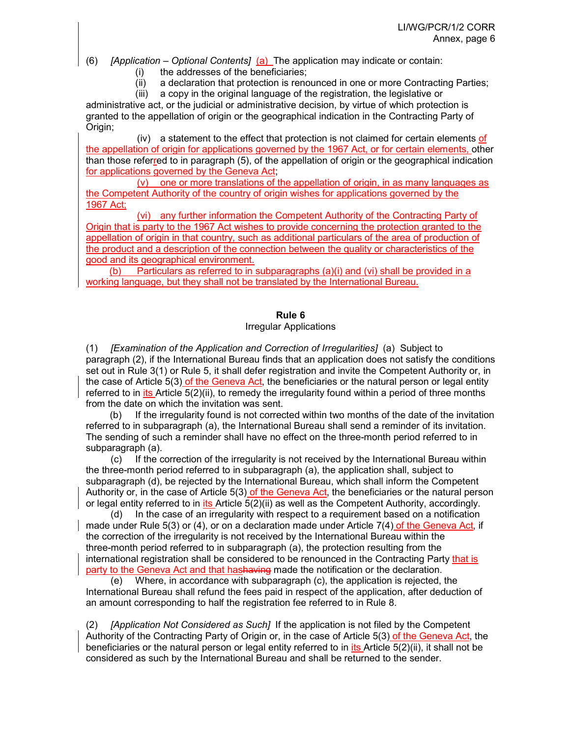- (6) *[Application Optional Contents]* (a) The application may indicate or contain:
	- (i) the addresses of the beneficiaries;
	- (ii) a declaration that protection is renounced in one or more Contracting Parties;

(iii) a copy in the original language of the registration, the legislative or

administrative act, or the judicial or administrative decision, by virtue of which protection is granted to the appellation of origin or the geographical indication in the Contracting Party of Origin;

(iv) a statement to the effect that protection is not claimed for certain elements of the appellation of origin for applications governed by the 1967 Act, or for certain elements, other than those referred to in paragraph (5), of the appellation of origin or the geographical indication for applications governed by the Geneva Act;

(v) one or more translations of the appellation of origin, in as many languages as the Competent Authority of the country of origin wishes for applications governed by the 1967 Act;

(vi) any further information the Competent Authority of the Contracting Party of Origin that is party to the 1967 Act wishes to provide concerning the protection granted to the appellation of origin in that country, such as additional particulars of the area of production of the product and a description of the connection between the quality or characteristics of the good and its geographical environment.

(b) Particulars as referred to in subparagraphs (a)(i) and (vi) shall be provided in a working language, but they shall not be translated by the International Bureau.

# **Rule 6**

### Irregular Applications

(1) *[Examination of the Application and Correction of Irregularities]* (a) Subject to paragraph (2), if the International Bureau finds that an application does not satisfy the conditions set out in Rule 3(1) or Rule 5, it shall defer registration and invite the Competent Authority or, in the case of Article 5(3) of the Geneva Act, the beneficiaries or the natural person or legal entity referred to in its Article 5(2)(ii), to remedy the irregularity found within a period of three months from the date on which the invitation was sent.

(b) If the irregularity found is not corrected within two months of the date of the invitation referred to in subparagraph (a), the International Bureau shall send a reminder of its invitation. The sending of such a reminder shall have no effect on the three-month period referred to in subparagraph (a).

(c) If the correction of the irregularity is not received by the International Bureau within the three-month period referred to in subparagraph (a), the application shall, subject to subparagraph (d), be rejected by the International Bureau, which shall inform the Competent Authority or, in the case of Article 5(3) of the Geneva Act, the beneficiaries or the natural person or legal entity referred to in its Article 5(2)(ii) as well as the Competent Authority, accordingly.

(d) In the case of an irregularity with respect to a requirement based on a notification made under Rule 5(3) or (4), or on a declaration made under Article 7(4) of the Geneva Act, if the correction of the irregularity is not received by the International Bureau within the three-month period referred to in subparagraph (a), the protection resulting from the international registration shall be considered to be renounced in the Contracting Party that is party to the Geneva Act and that has having made the notification or the declaration.

(e) Where, in accordance with subparagraph (c), the application is rejected, the International Bureau shall refund the fees paid in respect of the application, after deduction of an amount corresponding to half the registration fee referred to in Rule 8.

(2) *[Application Not Considered as Such]* If the application is not filed by the Competent Authority of the Contracting Party of Origin or, in the case of Article 5(3) of the Geneva Act, the beneficiaries or the natural person or legal entity referred to in its Article 5(2)(ii), it shall not be considered as such by the International Bureau and shall be returned to the sender.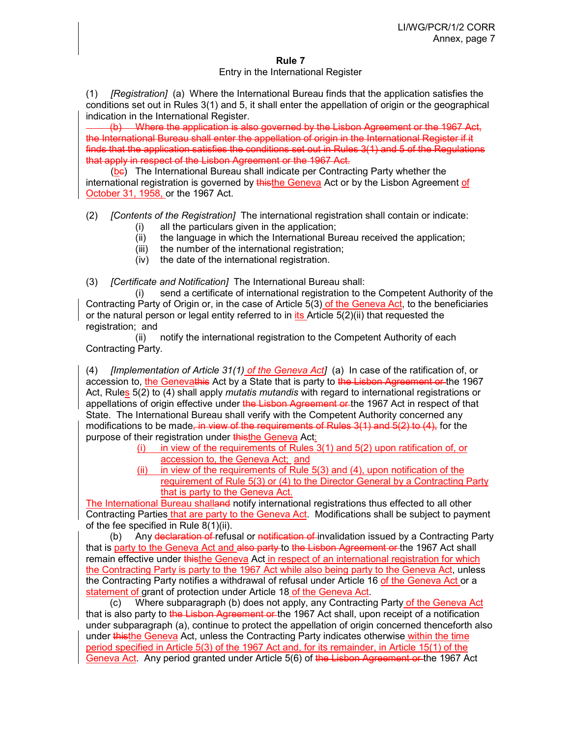#### **Rule 7**

#### Entry in the International Register

(1) *[Registration]* (a) Where the International Bureau finds that the application satisfies the conditions set out in Rules 3(1) and 5, it shall enter the appellation of origin or the geographical indication in the International Register.

 (b) Where the application is also governed by the Lisbon Agreement or the 1967 Act, the International Bureau shall enter the appellation of origin in the International Register if it finds that the application satisfies the conditions set out in Rules 3(1) and 5 of the Regulations that apply in respect of the Lisbon Agreement or the 1967 Act.

(be) The International Bureau shall indicate per Contracting Party whether the international registration is governed by this the Geneva Act or by the Lisbon Agreement of October 31, 1958, or the 1967 Act.

### (2) *[Contents of the Registration]* The international registration shall contain or indicate:

- (i) all the particulars given in the application;
- (ii) the language in which the International Bureau received the application;
- (iii) the number of the international registration;
- (iv) the date of the international registration.

(3) *[Certificate and Notification]* The International Bureau shall:

(i) send a certificate of international registration to the Competent Authority of the Contracting Party of Origin or, in the case of Article 5(3) of the Geneva Act, to the beneficiaries or the natural person or legal entity referred to in its Article  $5(2)(ii)$  that requested the registration; and

(ii) notify the international registration to the Competent Authority of each Contracting Party.

(4) *[Implementation of Article 31(1) of the Geneva Act]* (a) In case of the ratification of, or accession to, the Genevathis Act by a State that is party to the Lisbon Agreement or the 1967 Act, Rules 5(2) to (4) shall apply *mutatis mutandis* with regard to international registrations or appellations of origin effective under the Lisbon Agreement or the 1967 Act in respect of that State. The International Bureau shall verify with the Competent Authority concerned any modifications to be made, in view of the requirements of Rules  $3(1)$  and  $5(2)$  to  $(4)$ , for the purpose of their registration under thisthe Geneva Act:

> (i) in view of the requirements of Rules 3(1) and 5(2) upon ratification of, or accession to, the Geneva Act; and

(ii) in view of the requirements of Rule 5(3) and (4), upon notification of the requirement of Rule 5(3) or (4) to the Director General by a Contracting Party that is party to the Geneva Act.

The International Bureau shalland notify international registrations thus effected to all other Contracting Parties that are party to the Geneva Act. Modifications shall be subject to payment of the fee specified in Rule 8(1)(ii).

(b) Any declaration of refusal or notification of invalidation issued by a Contracting Party that is party to the Geneva Act and also party to the Lisbon Agreement or the 1967 Act shall remain effective under thisthe Geneva Act in respect of an international registration for which the Contracting Party is party to the 1967 Act while also being party to the Geneva Act, unless the Contracting Party notifies a withdrawal of refusal under Article 16 of the Geneva Act or a statement of grant of protection under Article 18 of the Geneva Act.

 (c) Where subparagraph (b) does not apply, any Contracting Party of the Geneva Act that is also party to the Lisbon Agreement or the 1967 Act shall, upon receipt of a notification under subparagraph (a), continue to protect the appellation of origin concerned thenceforth also under thisthe Geneva Act, unless the Contracting Party indicates otherwise within the time period specified in Article 5(3) of the 1967 Act and, for its remainder, in Article 15(1) of the Geneva Act. Any period granted under Article 5(6) of the Lisbon Agreement or the 1967 Act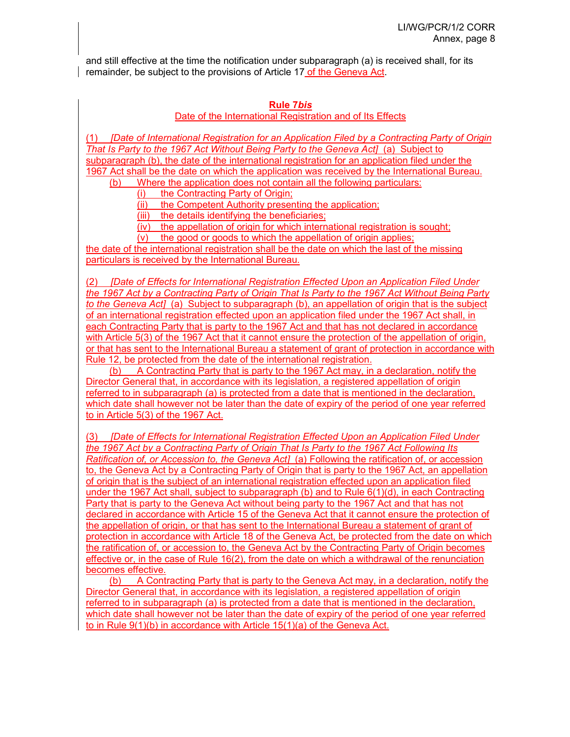and still effective at the time the notification under subparagraph (a) is received shall, for its remainder, be subject to the provisions of Article 17 of the Geneva Act.

### **Rule 7***bis*

Date of the International Registration and of Its Effects

(1) *[Date of International Registration for an Application Filed by a Contracting Party of Origin That Is Party to the 1967 Act Without Being Party to the Geneva Act]* (a) Subject to subparagraph (b), the date of the international registration for an application filed under the 1967 Act shall be the date on which the application was received by the International Bureau.

(b) Where the application does not contain all the following particulars:

(i) the Contracting Party of Origin;

(ii) the Competent Authority presenting the application;

(iii) the details identifying the beneficiaries;

(iv) the appellation of origin for which international registration is sought;

(v) the good or goods to which the appellation of origin applies;

the date of the international registration shall be the date on which the last of the missing particulars is received by the International Bureau.

(2) *[Date of Effects for International Registration Effected Upon an Application Filed Under the 1967 Act by a Contracting Party of Origin That Is Party to the 1967 Act Without Being Party to the Geneva Act]* (a) Subject to subparagraph (b), an appellation of origin that is the subject of an international registration effected upon an application filed under the 1967 Act shall, in each Contracting Party that is party to the 1967 Act and that has not declared in accordance with Article 5(3) of the 1967 Act that it cannot ensure the protection of the appellation of origin, or that has sent to the International Bureau a statement of grant of protection in accordance with Rule 12, be protected from the date of the international registration.

(b) A Contracting Party that is party to the 1967 Act may, in a declaration, notify the Director General that, in accordance with its legislation, a registered appellation of origin referred to in subparagraph (a) is protected from a date that is mentioned in the declaration, which date shall however not be later than the date of expiry of the period of one year referred to in Article 5(3) of the 1967 Act.

(3) *[Date of Effects for International Registration Effected Upon an Application Filed Under the 1967 Act by a Contracting Party of Origin That Is Party to the 1967 Act Following Its Ratification of, or Accession to, the Geneva Act]* (a) Following the ratification of, or accession to, the Geneva Act by a Contracting Party of Origin that is party to the 1967 Act, an appellation of origin that is the subject of an international registration effected upon an application filed under the 1967 Act shall, subject to subparagraph (b) and to Rule 6(1)(d), in each Contracting Party that is party to the Geneva Act without being party to the 1967 Act and that has not declared in accordance with Article 15 of the Geneva Act that it cannot ensure the protection of the appellation of origin, or that has sent to the International Bureau a statement of grant of protection in accordance with Article 18 of the Geneva Act, be protected from the date on which the ratification of, or accession to, the Geneva Act by the Contracting Party of Origin becomes effective or, in the case of Rule 16(2), from the date on which a withdrawal of the renunciation becomes effective.

(b) A Contracting Party that is party to the Geneva Act may, in a declaration, notify the Director General that, in accordance with its legislation, a registered appellation of origin referred to in subparagraph (a) is protected from a date that is mentioned in the declaration, which date shall however not be later than the date of expiry of the period of one year referred to in Rule 9(1)(b) in accordance with Article 15(1)(a) of the Geneva Act.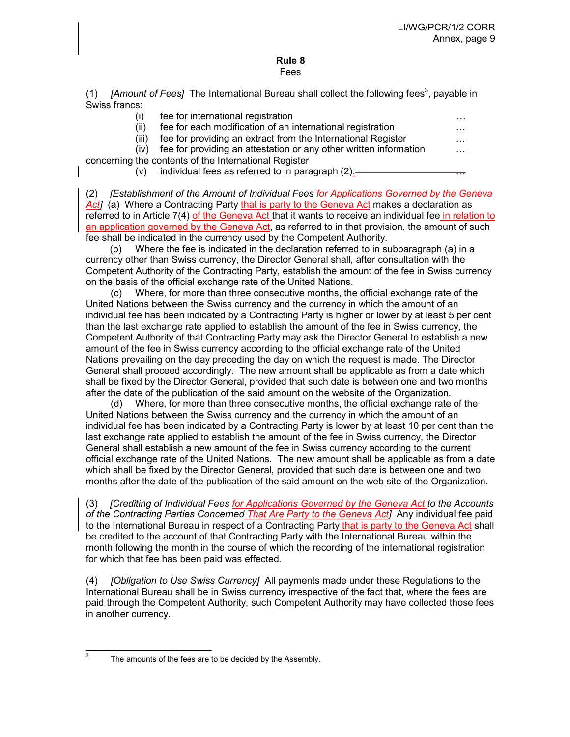#### **Rule 8**  Fees

(1) [Amount of Fees] The International Bureau shall collect the following fees<sup>3</sup>, payable in Swiss francs:

|       | fee for international registration                                | $\cdots$ |
|-------|-------------------------------------------------------------------|----------|
| (॥)   | fee for each modification of an international registration        | $\cdots$ |
| (111) | fee for providing an extract from the International Register      | $\cdots$ |
| (iv)  | fee for providing an attestation or any other written information | $\cdots$ |
|       | concerning the contents of the International Register             |          |
| (V)   | individual fees as referred to in paragraph (2).                  | .        |

(2) *[Establishment of the Amount of Individual Fees for Applications Governed by the Geneva*  Act] (a) Where a Contracting Party that is party to the Geneva Act makes a declaration as referred to in Article 7(4) of the Geneva Act that it wants to receive an individual fee in relation to an application governed by the Geneva Act, as referred to in that provision, the amount of such fee shall be indicated in the currency used by the Competent Authority.

 (b) Where the fee is indicated in the declaration referred to in subparagraph (a) in a currency other than Swiss currency, the Director General shall, after consultation with the Competent Authority of the Contracting Party, establish the amount of the fee in Swiss currency on the basis of the official exchange rate of the United Nations.

(c) Where, for more than three consecutive months, the official exchange rate of the United Nations between the Swiss currency and the currency in which the amount of an individual fee has been indicated by a Contracting Party is higher or lower by at least 5 per cent than the last exchange rate applied to establish the amount of the fee in Swiss currency, the Competent Authority of that Contracting Party may ask the Director General to establish a new amount of the fee in Swiss currency according to the official exchange rate of the United Nations prevailing on the day preceding the day on which the request is made. The Director General shall proceed accordingly. The new amount shall be applicable as from a date which shall be fixed by the Director General, provided that such date is between one and two months after the date of the publication of the said amount on the website of the Organization.

 (d) Where, for more than three consecutive months, the official exchange rate of the United Nations between the Swiss currency and the currency in which the amount of an individual fee has been indicated by a Contracting Party is lower by at least 10 per cent than the last exchange rate applied to establish the amount of the fee in Swiss currency, the Director General shall establish a new amount of the fee in Swiss currency according to the current official exchange rate of the United Nations. The new amount shall be applicable as from a date which shall be fixed by the Director General, provided that such date is between one and two months after the date of the publication of the said amount on the web site of the Organization.

(3) *[Crediting of Individual Fees for Applications Governed by the Geneva Act to the Accounts of the Contracting Parties Concerned That Are Party to the Geneva Act]* Any individual fee paid to the International Bureau in respect of a Contracting Party that is party to the Geneva Act shall be credited to the account of that Contracting Party with the International Bureau within the month following the month in the course of which the recording of the international registration for which that fee has been paid was effected.

(4) *[Obligation to Use Swiss Currency]* All payments made under these Regulations to the International Bureau shall be in Swiss currency irrespective of the fact that, where the fees are paid through the Competent Authority, such Competent Authority may have collected those fees in another currency.

-<br>3

The amounts of the fees are to be decided by the Assembly.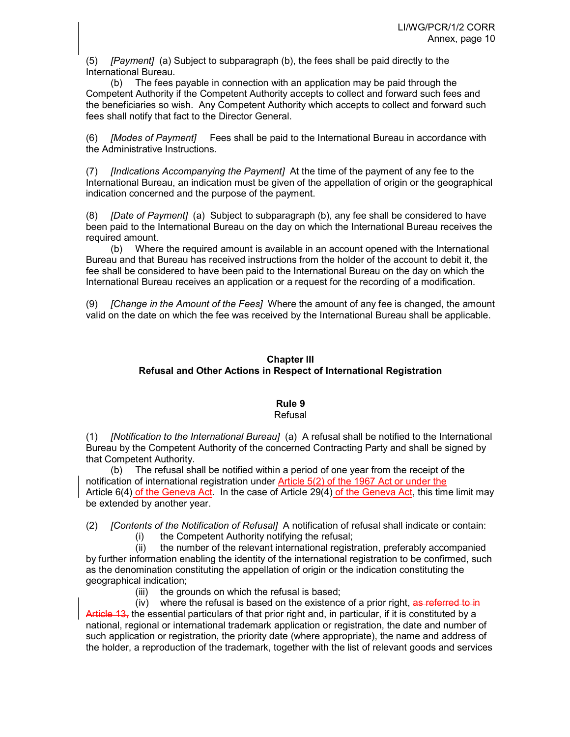(5) *[Payment]* (a) Subject to subparagraph (b), the fees shall be paid directly to the International Bureau.

(b) The fees payable in connection with an application may be paid through the Competent Authority if the Competent Authority accepts to collect and forward such fees and the beneficiaries so wish. Any Competent Authority which accepts to collect and forward such fees shall notify that fact to the Director General.

(6) *[Modes of Payment]* Fees shall be paid to the International Bureau in accordance with the Administrative Instructions.

(7) *[Indications Accompanying the Payment]* At the time of the payment of any fee to the International Bureau, an indication must be given of the appellation of origin or the geographical indication concerned and the purpose of the payment.

(8) *[Date of Payment]* (a) Subject to subparagraph (b), any fee shall be considered to have been paid to the International Bureau on the day on which the International Bureau receives the required amount.

(b) Where the required amount is available in an account opened with the International Bureau and that Bureau has received instructions from the holder of the account to debit it, the fee shall be considered to have been paid to the International Bureau on the day on which the International Bureau receives an application or a request for the recording of a modification.

(9) *[Change in the Amount of the Fees]* Where the amount of any fee is changed, the amount valid on the date on which the fee was received by the International Bureau shall be applicable.

### **Chapter III Refusal and Other Actions in Respect of International Registration**

### **Rule 9**

#### **Refusal**

(1) *[Notification to the International Bureau]* (a) A refusal shall be notified to the International Bureau by the Competent Authority of the concerned Contracting Party and shall be signed by that Competent Authority.

 (b) The refusal shall be notified within a period of one year from the receipt of the notification of international registration under Article 5(2) of the 1967 Act or under the Article 6(4) of the Geneva Act. In the case of Article 29(4) of the Geneva Act, this time limit may be extended by another year.

(2) *[Contents of the Notification of Refusal]* A notification of refusal shall indicate or contain:

(i) the Competent Authority notifying the refusal;

(ii) the number of the relevant international registration, preferably accompanied by further information enabling the identity of the international registration to be confirmed, such as the denomination constituting the appellation of origin or the indication constituting the geographical indication;

(iii) the grounds on which the refusal is based:

 $(iv)$  where the refusal is based on the existence of a prior right, as referred to in Article 13, the essential particulars of that prior right and, in particular, if it is constituted by a national, regional or international trademark application or registration, the date and number of such application or registration, the priority date (where appropriate), the name and address of the holder, a reproduction of the trademark, together with the list of relevant goods and services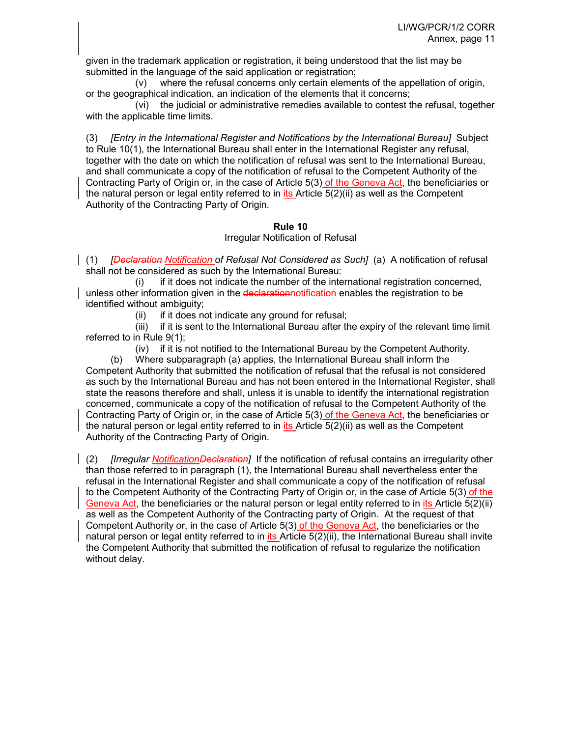given in the trademark application or registration, it being understood that the list may be submitted in the language of the said application or registration;

(v) where the refusal concerns only certain elements of the appellation of origin, or the geographical indication, an indication of the elements that it concerns;

(vi) the judicial or administrative remedies available to contest the refusal, together with the applicable time limits.

(3) *[Entry in the International Register and Notifications by the International Bureau]* Subject to Rule 10(1), the International Bureau shall enter in the International Register any refusal, together with the date on which the notification of refusal was sent to the International Bureau, and shall communicate a copy of the notification of refusal to the Competent Authority of the Contracting Party of Origin or, in the case of Article 5(3) of the Geneva Act, the beneficiaries or the natural person or legal entity referred to in its Article  $5(2)(ii)$  as well as the Competent Authority of the Contracting Party of Origin.

### **Rule 10**

### Irregular Notification of Refusal

(1) *[Declaration Notification of Refusal Not Considered as Such]* (a) A notification of refusal shall not be considered as such by the International Bureau:

(i) if it does not indicate the number of the international registration concerned, unless other information given in the declarationnotification enables the registration to be identified without ambiguity;

(ii) if it does not indicate any ground for refusal;

(iii) if it is sent to the International Bureau after the expiry of the relevant time limit referred to in Rule 9(1);

(iv) if it is not notified to the International Bureau by the Competent Authority.

(b) Where subparagraph (a) applies, the International Bureau shall inform the Competent Authority that submitted the notification of refusal that the refusal is not considered as such by the International Bureau and has not been entered in the International Register, shall state the reasons therefore and shall, unless it is unable to identify the international registration concerned, communicate a copy of the notification of refusal to the Competent Authority of the Contracting Party of Origin or, in the case of Article 5(3) of the Geneva Act, the beneficiaries or the natural person or legal entity referred to in its Article  $5(2)$ (ii) as well as the Competent Authority of the Contracting Party of Origin.

(2) *[Irregular NotificationDeclaration]* If the notification of refusal contains an irregularity other than those referred to in paragraph (1), the International Bureau shall nevertheless enter the refusal in the International Register and shall communicate a copy of the notification of refusal to the Competent Authority of the Contracting Party of Origin or, in the case of Article 5(3) of the Geneva Act, the beneficiaries or the natural person or legal entity referred to in its Article 5(2)(ii) as well as the Competent Authority of the Contracting party of Origin. At the request of that Competent Authority or, in the case of Article 5(3) of the Geneva Act, the beneficiaries or the natural person or legal entity referred to in its Article 5(2)(ii), the International Bureau shall invite the Competent Authority that submitted the notification of refusal to regularize the notification without delay.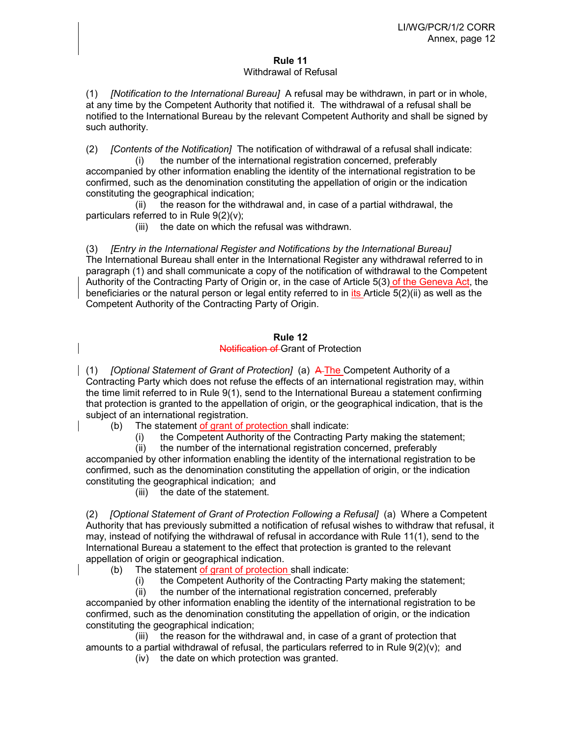#### **Rule 11**

#### Withdrawal of Refusal

(1) *[Notification to the International Bureau]* A refusal may be withdrawn, in part or in whole, at any time by the Competent Authority that notified it. The withdrawal of a refusal shall be notified to the International Bureau by the relevant Competent Authority and shall be signed by such authority.

(2) *[Contents of the Notification]* The notification of withdrawal of a refusal shall indicate:

(i) the number of the international registration concerned, preferably accompanied by other information enabling the identity of the international registration to be confirmed, such as the denomination constituting the appellation of origin or the indication constituting the geographical indication;

(ii) the reason for the withdrawal and, in case of a partial withdrawal, the particulars referred to in Rule 9(2)(v);

(iii) the date on which the refusal was withdrawn.

(3) *[Entry in the International Register and Notifications by the International Bureau]* The International Bureau shall enter in the International Register any withdrawal referred to in paragraph (1) and shall communicate a copy of the notification of withdrawal to the Competent Authority of the Contracting Party of Origin or, in the case of Article 5(3) of the Geneva Act, the beneficiaries or the natural person or legal entity referred to in its Article 5(2)(ii) as well as the Competent Authority of the Contracting Party of Origin.

### **Rule 12**

### Notification of Grant of Protection

(1) *[Optional Statement of Grant of Protection]* (a) A The Competent Authority of a Contracting Party which does not refuse the effects of an international registration may, within the time limit referred to in Rule 9(1), send to the International Bureau a statement confirming that protection is granted to the appellation of origin, or the geographical indication, that is the subject of an international registration.

- (b) The statement of grant of protection shall indicate:
	- (i) the Competent Authority of the Contracting Party making the statement;

(ii) the number of the international registration concerned, preferably accompanied by other information enabling the identity of the international registration to be confirmed, such as the denomination constituting the appellation of origin, or the indication

- constituting the geographical indication; and
	- (iii) the date of the statement.

(2) *[Optional Statement of Grant of Protection Following a Refusal]* (a) Where a Competent Authority that has previously submitted a notification of refusal wishes to withdraw that refusal, it may, instead of notifying the withdrawal of refusal in accordance with Rule 11(1), send to the International Bureau a statement to the effect that protection is granted to the relevant appellation of origin or geographical indication.

(b) The statement of grant of protection shall indicate:

(i) the Competent Authority of the Contracting Party making the statement;

(ii) the number of the international registration concerned, preferably

accompanied by other information enabling the identity of the international registration to be confirmed, such as the denomination constituting the appellation of origin, or the indication constituting the geographical indication;

(iii) the reason for the withdrawal and, in case of a grant of protection that amounts to a partial withdrawal of refusal, the particulars referred to in Rule  $9(2)(v)$ ; and

(iv) the date on which protection was granted.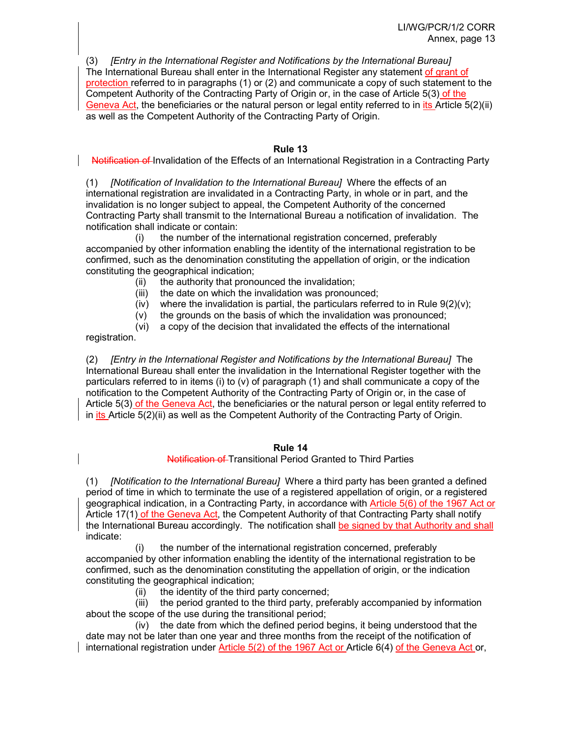(3) *[Entry in the International Register and Notifications by the International Bureau]* The International Bureau shall enter in the International Register any statement of grant of protection referred to in paragraphs (1) or (2) and communicate a copy of such statement to the Competent Authority of the Contracting Party of Origin or, in the case of Article 5(3) of the Geneva Act, the beneficiaries or the natural person or legal entity referred to in its Article 5(2)(ii) as well as the Competent Authority of the Contracting Party of Origin.

### **Rule 13**

Notification of Invalidation of the Effects of an International Registration in a Contracting Party

(1) *[Notification of Invalidation to the International Bureau]* Where the effects of an international registration are invalidated in a Contracting Party, in whole or in part, and the invalidation is no longer subject to appeal, the Competent Authority of the concerned Contracting Party shall transmit to the International Bureau a notification of invalidation. The notification shall indicate or contain:

(i) the number of the international registration concerned, preferably accompanied by other information enabling the identity of the international registration to be confirmed, such as the denomination constituting the appellation of origin, or the indication constituting the geographical indication;

- (ii) the authority that pronounced the invalidation;
- (iii) the date on which the invalidation was pronounced;
- (iv) where the invalidation is partial, the particulars referred to in Rule  $9(2)(v)$ ;
- (v) the grounds on the basis of which the invalidation was pronounced;

(vi) a copy of the decision that invalidated the effects of the international

registration.

(2) *[Entry in the International Register and Notifications by the International Bureau]* The International Bureau shall enter the invalidation in the International Register together with the particulars referred to in items (i) to (v) of paragraph (1) and shall communicate a copy of the notification to the Competent Authority of the Contracting Party of Origin or, in the case of Article 5(3) of the Geneva Act, the beneficiaries or the natural person or legal entity referred to in its Article  $5(2)$ (ii) as well as the Competent Authority of the Contracting Party of Origin.

#### **Rule 14**

#### Notification of Transitional Period Granted to Third Parties

(1) *[Notification to the International Bureau]* Where a third party has been granted a defined period of time in which to terminate the use of a registered appellation of origin, or a registered geographical indication, in a Contracting Party, in accordance with Article 5(6) of the 1967 Act or Article 17(1) of the Geneva Act, the Competent Authority of that Contracting Party shall notify the International Bureau accordingly. The notification shall be signed by that Authority and shall indicate:

the number of the international registration concerned, preferably accompanied by other information enabling the identity of the international registration to be confirmed, such as the denomination constituting the appellation of origin, or the indication constituting the geographical indication;

(ii) the identity of the third party concerned;

(iii) the period granted to the third party, preferably accompanied by information about the scope of the use during the transitional period;

(iv) the date from which the defined period begins, it being understood that the date may not be later than one year and three months from the receipt of the notification of international registration under Article 5(2) of the 1967 Act or Article 6(4) of the Geneva Act or,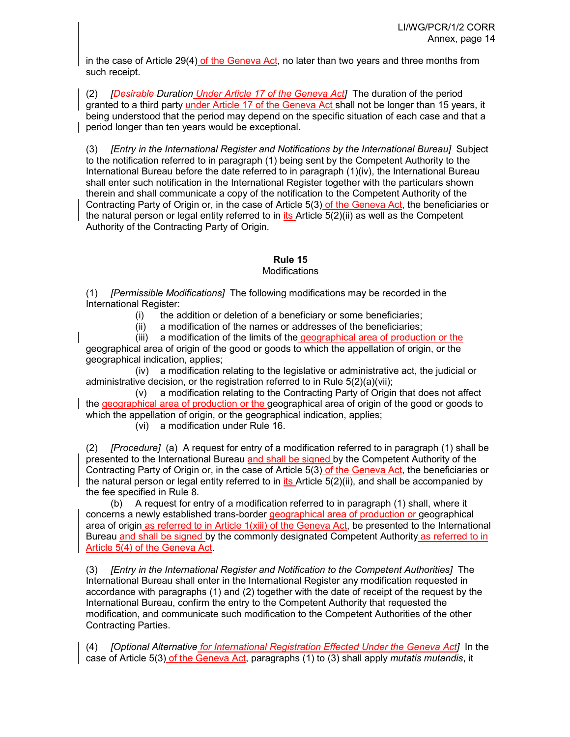in the case of Article 29(4) of the Geneva Act, no later than two years and three months from such receipt.

(2) *[Desirable Duration Under Article 17 of the Geneva Act]* The duration of the period granted to a third party under Article 17 of the Geneva Act shall not be longer than 15 years, it being understood that the period may depend on the specific situation of each case and that a period longer than ten years would be exceptional.

(3) *[Entry in the International Register and Notifications by the International Bureau]* Subject to the notification referred to in paragraph (1) being sent by the Competent Authority to the International Bureau before the date referred to in paragraph (1)(iv), the International Bureau shall enter such notification in the International Register together with the particulars shown therein and shall communicate a copy of the notification to the Competent Authority of the Contracting Party of Origin or, in the case of Article 5(3) of the Geneva Act, the beneficiaries or the natural person or legal entity referred to in its Article  $5(2)(ii)$  as well as the Competent Authority of the Contracting Party of Origin.

## **Rule 15**

### **Modifications**

(1) *[Permissible Modifications]* The following modifications may be recorded in the International Register:

(i) the addition or deletion of a beneficiary or some beneficiaries;

(ii) a modification of the names or addresses of the beneficiaries;

(iii) a modification of the limits of the geographical area of production or the geographical area of origin of the good or goods to which the appellation of origin, or the geographical indication, applies;

(iv) a modification relating to the legislative or administrative act, the judicial or administrative decision, or the registration referred to in Rule 5(2)(a)(vii);

(v) a modification relating to the Contracting Party of Origin that does not affect the geographical area of production or the geographical area of origin of the good or goods to which the appellation of origin, or the geographical indication, applies;

(vi) a modification under Rule 16.

(2) *[Procedure]* (a) A request for entry of a modification referred to in paragraph (1) shall be presented to the International Bureau and shall be signed by the Competent Authority of the Contracting Party of Origin or, in the case of Article 5(3) of the Geneva Act, the beneficiaries or the natural person or legal entity referred to in  $its$  Article  $5(2)(ii)$ , and shall be accompanied by the fee specified in Rule 8.

(b) A request for entry of a modification referred to in paragraph (1) shall, where it concerns a newly established trans-border geographical area of production or geographical area of origin as referred to in Article 1(xiii) of the Geneva Act, be presented to the International Bureau and shall be signed by the commonly designated Competent Authority as referred to in Article 5(4) of the Geneva Act.

(3) *[Entry in the International Register and Notification to the Competent Authorities]* The International Bureau shall enter in the International Register any modification requested in accordance with paragraphs (1) and (2) together with the date of receipt of the request by the International Bureau, confirm the entry to the Competent Authority that requested the modification, and communicate such modification to the Competent Authorities of the other Contracting Parties.

(4) *[Optional Alternative for International Registration Effected Under the Geneva Act]* In the case of Article 5(3) of the Geneva Act, paragraphs (1) to (3) shall apply *mutatis mutandis*, it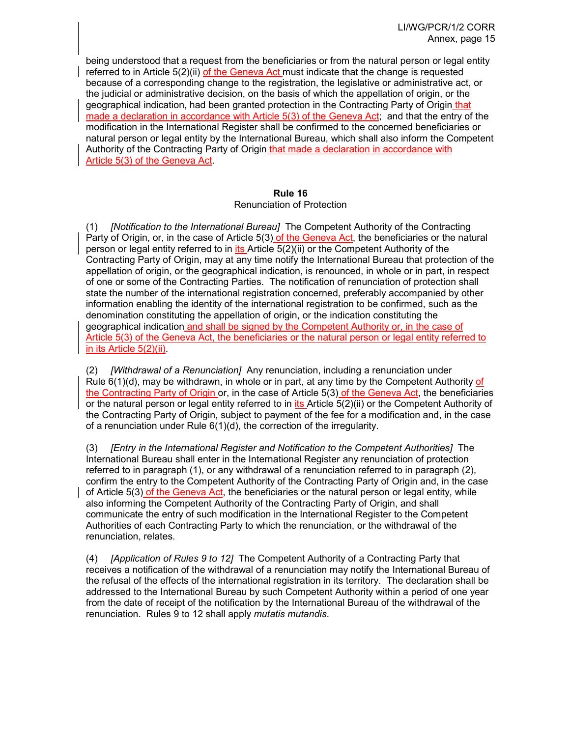being understood that a request from the beneficiaries or from the natural person or legal entity referred to in Article 5(2)(ii) of the Geneva Act must indicate that the change is requested because of a corresponding change to the registration, the legislative or administrative act, or the judicial or administrative decision, on the basis of which the appellation of origin, or the geographical indication, had been granted protection in the Contracting Party of Origin that made a declaration in accordance with Article 5(3) of the Geneva Act; and that the entry of the modification in the International Register shall be confirmed to the concerned beneficiaries or natural person or legal entity by the International Bureau, which shall also inform the Competent Authority of the Contracting Party of Origin that made a declaration in accordance with Article 5(3) of the Geneva Act.

#### **Rule 16**

### Renunciation of Protection

(1) *[Notification to the International Bureau]* The Competent Authority of the Contracting Party of Origin, or, in the case of Article 5(3) of the Geneva Act, the beneficiaries or the natural person or legal entity referred to in its Article 5(2)(ii) or the Competent Authority of the Contracting Party of Origin, may at any time notify the International Bureau that protection of the appellation of origin, or the geographical indication, is renounced, in whole or in part, in respect of one or some of the Contracting Parties. The notification of renunciation of protection shall state the number of the international registration concerned, preferably accompanied by other information enabling the identity of the international registration to be confirmed, such as the denomination constituting the appellation of origin, or the indication constituting the geographical indication and shall be signed by the Competent Authority or, in the case of Article 5(3) of the Geneva Act, the beneficiaries or the natural person or legal entity referred to in its Article 5(2)(ii).

(2) *[Withdrawal of a Renunciation]* Any renunciation, including a renunciation under Rule 6(1)(d), may be withdrawn, in whole or in part, at any time by the Competent Authority of the Contracting Party of Origin or, in the case of Article 5(3) of the Geneva Act, the beneficiaries or the natural person or legal entity referred to in its Article 5(2)(ii) or the Competent Authority of the Contracting Party of Origin, subject to payment of the fee for a modification and, in the case of a renunciation under Rule 6(1)(d), the correction of the irregularity.

(3) *[Entry in the International Register and Notification to the Competent Authorities]* The International Bureau shall enter in the International Register any renunciation of protection referred to in paragraph (1), or any withdrawal of a renunciation referred to in paragraph (2), confirm the entry to the Competent Authority of the Contracting Party of Origin and, in the case of Article 5(3) of the Geneva Act, the beneficiaries or the natural person or legal entity, while also informing the Competent Authority of the Contracting Party of Origin, and shall communicate the entry of such modification in the International Register to the Competent Authorities of each Contracting Party to which the renunciation, or the withdrawal of the renunciation, relates.

(4) *[Application of Rules 9 to 12]* The Competent Authority of a Contracting Party that receives a notification of the withdrawal of a renunciation may notify the International Bureau of the refusal of the effects of the international registration in its territory. The declaration shall be addressed to the International Bureau by such Competent Authority within a period of one year from the date of receipt of the notification by the International Bureau of the withdrawal of the renunciation. Rules 9 to 12 shall apply *mutatis mutandis*.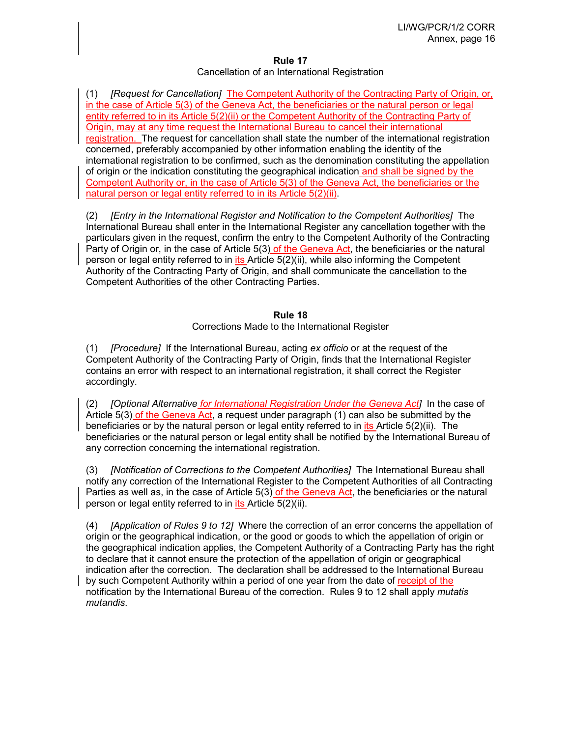#### **Rule 17**

Cancellation of an International Registration

(1) *[Request for Cancellation]* The Competent Authority of the Contracting Party of Origin, or, in the case of Article 5(3) of the Geneva Act, the beneficiaries or the natural person or legal entity referred to in its Article 5(2)(ii) or the Competent Authority of the Contracting Party of Origin, may at any time request the International Bureau to cancel their international registration. The request for cancellation shall state the number of the international registration concerned, preferably accompanied by other information enabling the identity of the international registration to be confirmed, such as the denomination constituting the appellation of origin or the indication constituting the geographical indication and shall be signed by the Competent Authority or, in the case of Article 5(3) of the Geneva Act, the beneficiaries or the natural person or legal entity referred to in its Article 5(2)(ii).

(2) *[Entry in the International Register and Notification to the Competent Authorities]* The International Bureau shall enter in the International Register any cancellation together with the particulars given in the request, confirm the entry to the Competent Authority of the Contracting Party of Origin or, in the case of Article 5(3) of the Geneva Act, the beneficiaries or the natural person or legal entity referred to in its Article 5(2)(ii), while also informing the Competent Authority of the Contracting Party of Origin, and shall communicate the cancellation to the Competent Authorities of the other Contracting Parties.

### **Rule 18**

Corrections Made to the International Register

(1) *[Procedure]* If the International Bureau, acting *ex officio* or at the request of the Competent Authority of the Contracting Party of Origin, finds that the International Register contains an error with respect to an international registration, it shall correct the Register accordingly.

(2) *[Optional Alternative for International Registration Under the Geneva Act]* In the case of Article 5(3) of the Geneva Act, a request under paragraph (1) can also be submitted by the beneficiaries or by the natural person or legal entity referred to in its Article 5(2)(ii). The beneficiaries or the natural person or legal entity shall be notified by the International Bureau of any correction concerning the international registration.

(3) *[Notification of Corrections to the Competent Authorities]* The International Bureau shall notify any correction of the International Register to the Competent Authorities of all Contracting Parties as well as, in the case of Article 5(3) of the Geneva Act, the beneficiaries or the natural person or legal entity referred to in its Article 5(2)(ii).

(4) *[Application of Rules 9 to 12]* Where the correction of an error concerns the appellation of origin or the geographical indication, or the good or goods to which the appellation of origin or the geographical indication applies, the Competent Authority of a Contracting Party has the right to declare that it cannot ensure the protection of the appellation of origin or geographical indication after the correction. The declaration shall be addressed to the International Bureau by such Competent Authority within a period of one year from the date of receipt of the notification by the International Bureau of the correction. Rules 9 to 12 shall apply *mutatis mutandis*.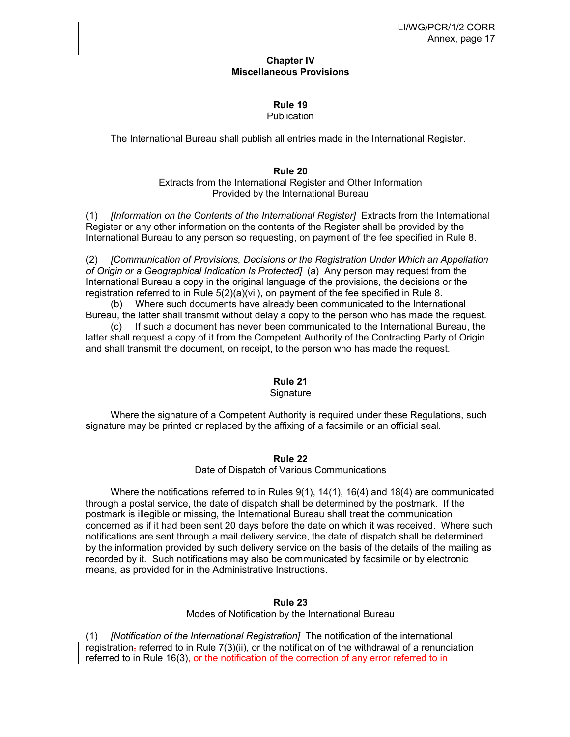#### **Chapter IV Miscellaneous Provisions**

### **Rule 19**

#### **Publication**

The International Bureau shall publish all entries made in the International Register.

#### **Rule 20** Extracts from the International Register and Other Information Provided by the International Bureau

(1) *[Information on the Contents of the International Register]* Extracts from the International Register or any other information on the contents of the Register shall be provided by the International Bureau to any person so requesting, on payment of the fee specified in Rule 8.

(2) *[Communication of Provisions, Decisions or the Registration Under Which an Appellation of Origin or a Geographical Indication Is Protected]* (a) Any person may request from the International Bureau a copy in the original language of the provisions, the decisions or the registration referred to in Rule 5(2)(a)(vii), on payment of the fee specified in Rule 8.

(b) Where such documents have already been communicated to the International Bureau, the latter shall transmit without delay a copy to the person who has made the request.

(c) If such a document has never been communicated to the International Bureau, the latter shall request a copy of it from the Competent Authority of the Contracting Party of Origin and shall transmit the document, on receipt, to the person who has made the request.

### **Rule 21**

#### **Signature**

Where the signature of a Competent Authority is required under these Regulations, such signature may be printed or replaced by the affixing of a facsimile or an official seal.

#### **Rule 22**

Date of Dispatch of Various Communications

Where the notifications referred to in Rules 9(1), 14(1), 16(4) and 18(4) are communicated through a postal service, the date of dispatch shall be determined by the postmark. If the postmark is illegible or missing, the International Bureau shall treat the communication concerned as if it had been sent 20 days before the date on which it was received. Where such notifications are sent through a mail delivery service, the date of dispatch shall be determined by the information provided by such delivery service on the basis of the details of the mailing as recorded by it. Such notifications may also be communicated by facsimile or by electronic means, as provided for in the Administrative Instructions.

### **Rule 23**

Modes of Notification by the International Bureau

(1) *[Notification of the International Registration]* The notification of the international registration, referred to in Rule  $7(3)$ (ii), or the notification of the withdrawal of a renunciation referred to in Rule 16(3), or the notification of the correction of any error referred to in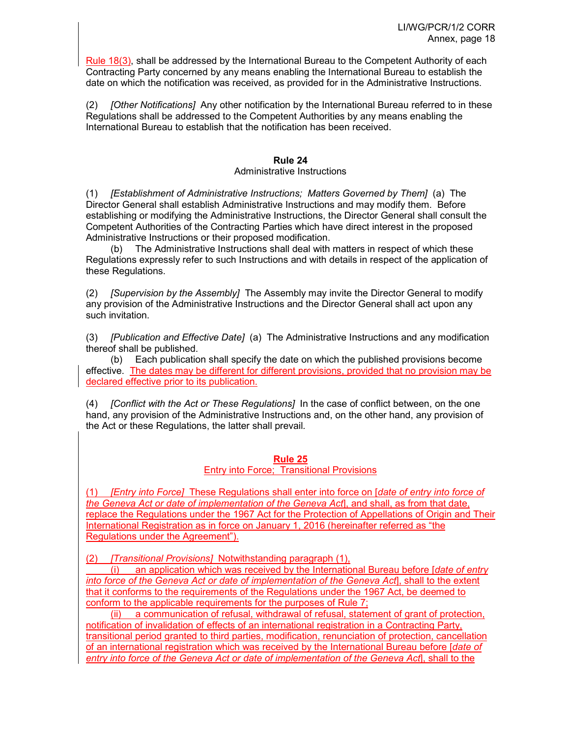Rule 18(3), shall be addressed by the International Bureau to the Competent Authority of each Contracting Party concerned by any means enabling the International Bureau to establish the date on which the notification was received, as provided for in the Administrative Instructions.

(2) *[Other Notifications]* Any other notification by the International Bureau referred to in these Regulations shall be addressed to the Competent Authorities by any means enabling the International Bureau to establish that the notification has been received.

### **Rule 24**

### Administrative Instructions

(1) *[Establishment of Administrative Instructions; Matters Governed by Them]* (a) The Director General shall establish Administrative Instructions and may modify them. Before establishing or modifying the Administrative Instructions, the Director General shall consult the Competent Authorities of the Contracting Parties which have direct interest in the proposed Administrative Instructions or their proposed modification.

(b) The Administrative Instructions shall deal with matters in respect of which these Regulations expressly refer to such Instructions and with details in respect of the application of these Regulations.

(2) *[Supervision by the Assembly]* The Assembly may invite the Director General to modify any provision of the Administrative Instructions and the Director General shall act upon any such invitation.

(3) *[Publication and Effective Date]* (a) The Administrative Instructions and any modification thereof shall be published.

(b) Each publication shall specify the date on which the published provisions become effective. The dates may be different for different provisions, provided that no provision may be declared effective prior to its publication.

(4) *[Conflict with the Act or These Regulations]* In the case of conflict between, on the one hand, any provision of the Administrative Instructions and, on the other hand, any provision of the Act or these Regulations, the latter shall prevail*.* 

#### **Rule 25**

#### Entry into Force; Transitional Provisions

(1) *[Entry into Force]* These Regulations shall enter into force on [*date of entry into force of the Geneva Act or date of implementation of the Geneva Act*], and shall, as from that date, replace the Regulations under the 1967 Act for the Protection of Appellations of Origin and Their International Registration as in force on January 1, 2016 (hereinafter referred as "the Regulations under the Agreement").

(2) *[Transitional Provisions]* Notwithstanding paragraph (1),

(i) an application which was received by the International Bureau before [*date of entry into force of the Geneva Act or date of implementation of the Geneva Act*], shall to the extent that it conforms to the requirements of the Regulations under the 1967 Act, be deemed to conform to the applicable requirements for the purposes of Rule 7;

(ii) a communication of refusal, withdrawal of refusal, statement of grant of protection, notification of invalidation of effects of an international registration in a Contracting Party, transitional period granted to third parties, modification, renunciation of protection, cancellation of an international registration which was received by the International Bureau before [*date of entry into force of the Geneva Act or date of implementation of the Geneva Act*], shall to the